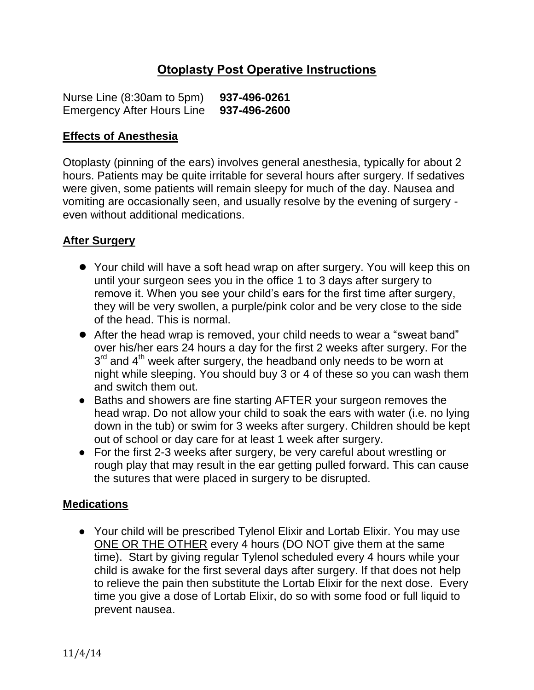# **Otoplasty Post Operative Instructions**

Nurse Line (8:30am to 5pm) **937-496-0261** Emergency After Hours Line **937-496-2600**

### **Effects of Anesthesia**

Otoplasty (pinning of the ears) involves general anesthesia, typically for about 2 hours. Patients may be quite irritable for several hours after surgery. If sedatives were given, some patients will remain sleepy for much of the day. Nausea and vomiting are occasionally seen, and usually resolve by the evening of surgery even without additional medications.

# **After Surgery**

- Your child will have a soft head wrap on after surgery. You will keep this on until your surgeon sees you in the office 1 to 3 days after surgery to remove it. When you see your child's ears for the first time after surgery, they will be very swollen, a purple/pink color and be very close to the side of the head. This is normal.
- After the head wrap is removed, your child needs to wear a "sweat band" over his/her ears 24 hours a day for the first 2 weeks after surgery. For the 3<sup>rd</sup> and 4<sup>th</sup> week after surgery, the headband only needs to be worn at night while sleeping. You should buy 3 or 4 of these so you can wash them and switch them out.
- Baths and showers are fine starting AFTER your surgeon removes the head wrap. Do not allow your child to soak the ears with water (i.e. no lying down in the tub) or swim for 3 weeks after surgery. Children should be kept out of school or day care for at least 1 week after surgery.
- For the first 2-3 weeks after surgery, be very careful about wrestling or rough play that may result in the ear getting pulled forward. This can cause the sutures that were placed in surgery to be disrupted.

#### **Medications**

● Your child will be prescribed Tylenol Elixir and Lortab Elixir. You may use ONE OR THE OTHER every 4 hours (DO NOT give them at the same time). Start by giving regular Tylenol scheduled every 4 hours while your child is awake for the first several days after surgery. If that does not help to relieve the pain then substitute the Lortab Elixir for the next dose. Every time you give a dose of Lortab Elixir, do so with some food or full liquid to prevent nausea.